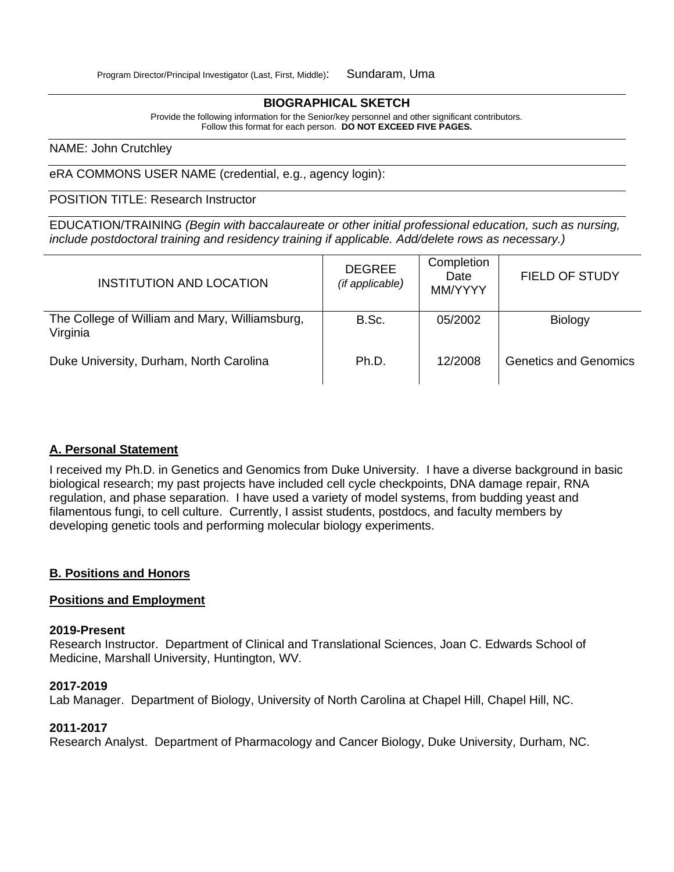#### **BIOGRAPHICAL SKETCH**

Provide the following information for the Senior/key personnel and other significant contributors. Follow this format for each person. **DO NOT EXCEED FIVE PAGES.**

#### NAME: John Crutchley

eRA COMMONS USER NAME (credential, e.g., agency login):

POSITION TITLE: Research Instructor

EDUCATION/TRAINING *(Begin with baccalaureate or other initial professional education, such as nursing, include postdoctoral training and residency training if applicable. Add/delete rows as necessary.)*

| <b>INSTITUTION AND LOCATION</b>                            | <b>DEGREE</b><br>(if applicable) | Completion<br>Date<br>MM/YYYY | <b>FIELD OF STUDY</b>        |
|------------------------------------------------------------|----------------------------------|-------------------------------|------------------------------|
| The College of William and Mary, Williamsburg,<br>Virginia | B.Sc.                            | 05/2002                       | <b>Biology</b>               |
| Duke University, Durham, North Carolina                    | Ph.D.                            | 12/2008                       | <b>Genetics and Genomics</b> |

### **A. Personal Statement**

I received my Ph.D. in Genetics and Genomics from Duke University. I have a diverse background in basic biological research; my past projects have included cell cycle checkpoints, DNA damage repair, RNA regulation, and phase separation. I have used a variety of model systems, from budding yeast and filamentous fungi, to cell culture. Currently, I assist students, postdocs, and faculty members by developing genetic tools and performing molecular biology experiments.

#### **B. Positions and Honors**

### **Positions and Employment**

#### **2019-Present**

Research Instructor. Department of Clinical and Translational Sciences, Joan C. Edwards School of Medicine, Marshall University, Huntington, WV.

#### **2017-2019**

Lab Manager. Department of Biology, University of North Carolina at Chapel Hill, Chapel Hill, NC.

## **2011-2017**

Research Analyst. Department of Pharmacology and Cancer Biology, Duke University, Durham, NC.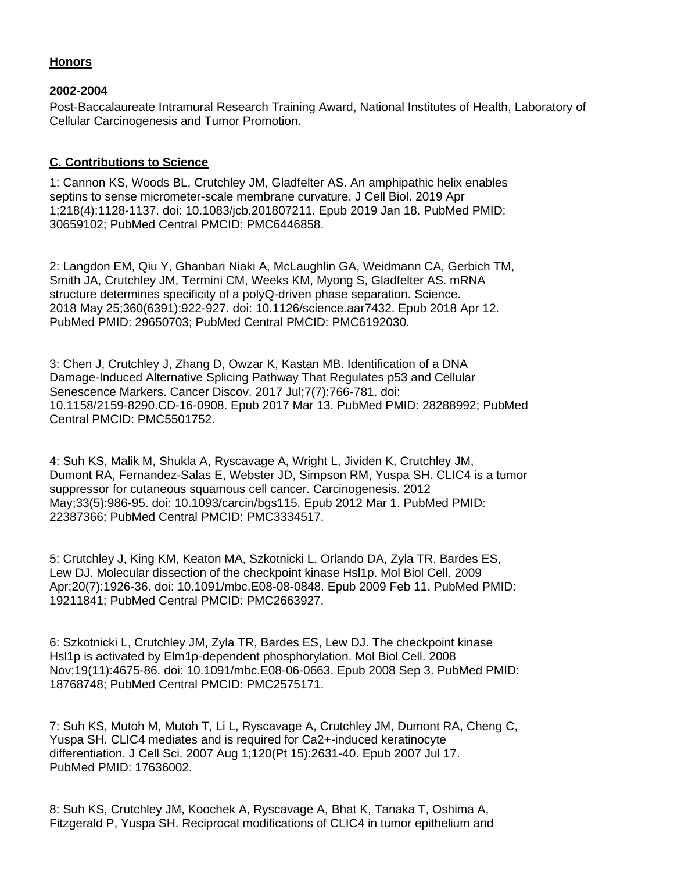# **Honors**

## **2002-2004**

Post-Baccalaureate Intramural Research Training Award, National Institutes of Health, Laboratory of Cellular Carcinogenesis and Tumor Promotion.

## **C. Contributions to Science**

1: Cannon KS, Woods BL, Crutchley JM, Gladfelter AS. An amphipathic helix enables septins to sense micrometer-scale membrane curvature. J Cell Biol. 2019 Apr 1;218(4):1128-1137. doi: 10.1083/jcb.201807211. Epub 2019 Jan 18. PubMed PMID: 30659102; PubMed Central PMCID: PMC6446858.

2: Langdon EM, Qiu Y, Ghanbari Niaki A, McLaughlin GA, Weidmann CA, Gerbich TM, Smith JA, Crutchley JM, Termini CM, Weeks KM, Myong S, Gladfelter AS. mRNA structure determines specificity of a polyQ-driven phase separation. Science. 2018 May 25;360(6391):922-927. doi: 10.1126/science.aar7432. Epub 2018 Apr 12. PubMed PMID: 29650703; PubMed Central PMCID: PMC6192030.

3: Chen J, Crutchley J, Zhang D, Owzar K, Kastan MB. Identification of a DNA Damage-Induced Alternative Splicing Pathway That Regulates p53 and Cellular Senescence Markers. Cancer Discov. 2017 Jul;7(7):766-781. doi: 10.1158/2159-8290.CD-16-0908. Epub 2017 Mar 13. PubMed PMID: 28288992; PubMed Central PMCID: PMC5501752.

4: Suh KS, Malik M, Shukla A, Ryscavage A, Wright L, Jividen K, Crutchley JM, Dumont RA, Fernandez-Salas E, Webster JD, Simpson RM, Yuspa SH. CLIC4 is a tumor suppressor for cutaneous squamous cell cancer. Carcinogenesis. 2012 May;33(5):986-95. doi: 10.1093/carcin/bgs115. Epub 2012 Mar 1. PubMed PMID: 22387366; PubMed Central PMCID: PMC3334517.

5: Crutchley J, King KM, Keaton MA, Szkotnicki L, Orlando DA, Zyla TR, Bardes ES, Lew DJ. Molecular dissection of the checkpoint kinase Hsl1p. Mol Biol Cell. 2009 Apr;20(7):1926-36. doi: 10.1091/mbc.E08-08-0848. Epub 2009 Feb 11. PubMed PMID: 19211841; PubMed Central PMCID: PMC2663927.

6: Szkotnicki L, Crutchley JM, Zyla TR, Bardes ES, Lew DJ. The checkpoint kinase Hsl1p is activated by Elm1p-dependent phosphorylation. Mol Biol Cell. 2008 Nov;19(11):4675-86. doi: 10.1091/mbc.E08-06-0663. Epub 2008 Sep 3. PubMed PMID: 18768748; PubMed Central PMCID: PMC2575171.

7: Suh KS, Mutoh M, Mutoh T, Li L, Ryscavage A, Crutchley JM, Dumont RA, Cheng C, Yuspa SH. CLIC4 mediates and is required for Ca2+-induced keratinocyte differentiation. J Cell Sci. 2007 Aug 1;120(Pt 15):2631-40. Epub 2007 Jul 17. PubMed PMID: 17636002.

8: Suh KS, Crutchley JM, Koochek A, Ryscavage A, Bhat K, Tanaka T, Oshima A, Fitzgerald P, Yuspa SH. Reciprocal modifications of CLIC4 in tumor epithelium and